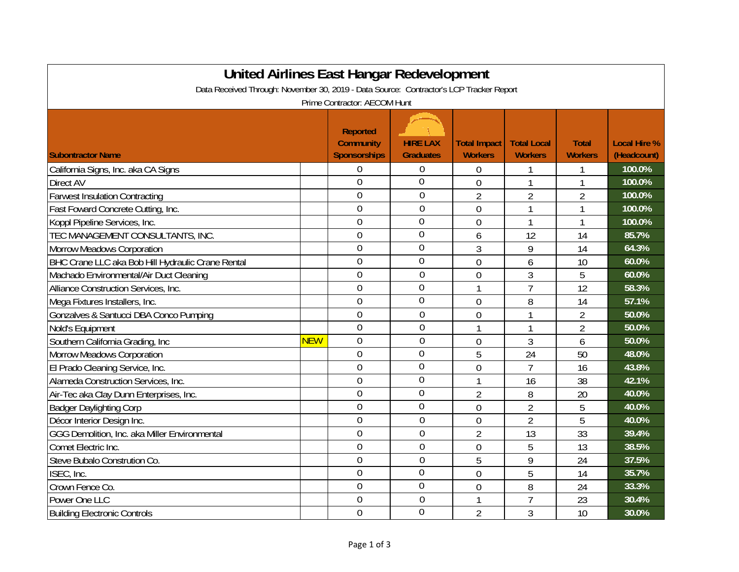| <b>United Airlines East Hangar Redevelopment</b>                                        |            |                                     |                  |                     |                    |                |                     |  |
|-----------------------------------------------------------------------------------------|------------|-------------------------------------|------------------|---------------------|--------------------|----------------|---------------------|--|
| Data Received Through: November 30, 2019 - Data Source: Contractor's LCP Tracker Report |            |                                     |                  |                     |                    |                |                     |  |
| Prime Contractor: AECOM Hunt                                                            |            |                                     |                  |                     |                    |                |                     |  |
|                                                                                         |            | <b>Reported</b><br><b>Community</b> | <b>HIRE LAX</b>  | <b>Total Impact</b> | <b>Total Local</b> | <b>Total</b>   | <b>Local Hire %</b> |  |
| <b>Subontractor Name</b>                                                                |            | <b>Sponsorships</b>                 | <b>Graduates</b> | <b>Workers</b>      | <b>Workers</b>     | <b>Workers</b> | (Headcount)         |  |
| California Signs, Inc. aka CA Signs                                                     |            | $\overline{0}$                      | 0                | 0                   | 1                  | 1              | 100.0%              |  |
| Direct AV                                                                               |            | $\overline{0}$                      | $\overline{0}$   | $\overline{0}$      | $\mathbf{1}$       | $\mathbf{1}$   | 100.0%              |  |
| <b>Farwest Insulation Contracting</b>                                                   |            | $\overline{0}$                      | $\mathbf 0$      | $\overline{2}$      | $\overline{2}$     | $\overline{2}$ | 100.0%              |  |
| Fast Foward Concrete Cutting, Inc.                                                      |            | $\overline{0}$                      | $\mathbf 0$      | $\overline{0}$      | $\mathbf{1}$       | 1              | 100.0%              |  |
| Koppl Pipeline Services, Inc.                                                           |            | $\overline{0}$                      | $\overline{0}$   | $\overline{0}$      | $\mathbf{1}$       | $\mathbf{1}$   | 100.0%              |  |
| TEC MANAGEMENT CONSULTANTS, INC.                                                        |            | $\overline{0}$                      | $\overline{0}$   | 6                   | 12                 | 14             | 85.7%               |  |
| <b>Morrow Meadows Corporation</b>                                                       |            | $\overline{0}$                      | 0                | 3                   | 9                  | 14             | 64.3%               |  |
| BHC Crane LLC aka Bob Hill Hydraulic Crane Rental                                       |            | $\overline{0}$                      | $\overline{0}$   | $\overline{0}$      | 6                  | 10             | 60.0%               |  |
| Machado Environmental/Air Duct Cleaning                                                 |            | $\overline{0}$                      | $\overline{0}$   | $\overline{0}$      | 3                  | 5              | 60.0%               |  |
| Alliance Construction Services, Inc.                                                    |            | $\overline{0}$                      | $\overline{0}$   | 1                   | $\overline{1}$     | 12             | 58.3%               |  |
| Mega Fixtures Installers, Inc.                                                          |            | $\overline{0}$                      | $\overline{0}$   | $\overline{0}$      | 8                  | 14             | 57.1%               |  |
| Gonzalves & Santucci DBA Conco Pumping                                                  |            | $\overline{0}$                      | $\overline{0}$   | $\overline{0}$      | $\mathbf{1}$       | $\overline{2}$ | 50.0%               |  |
| Nold's Equipment                                                                        |            | $\overline{0}$                      | $\mathbf 0$      | 1                   | $\mathbf{1}$       | $\overline{2}$ | 50.0%               |  |
| Southern California Grading, Inc                                                        | <b>NEW</b> | $\overline{0}$                      | $\mathbf 0$      | $\mathbf 0$         | 3                  | 6              | 50.0%               |  |
| <b>Morrow Meadows Corporation</b>                                                       |            | $\overline{0}$                      | $\overline{0}$   | 5                   | 24                 | 50             | 48.0%               |  |
| El Prado Cleaning Service, Inc.                                                         |            | $\theta$                            | $\overline{0}$   | $\overline{0}$      | $\overline{7}$     | 16             | 43.8%               |  |
| Alameda Construction Services, Inc.                                                     |            | $\theta$                            | $\overline{0}$   | $\mathbf{1}$        | 16                 | 38             | 42.1%               |  |
| Air-Tec aka Clay Dunn Enterprises, Inc.                                                 |            | $\overline{0}$                      | $\overline{0}$   | $\overline{2}$      | 8                  | 20             | 40.0%               |  |
| <b>Badger Daylighting Corp</b>                                                          |            | $\overline{0}$                      | 0                | 0                   | $\overline{2}$     | 5              | 40.0%               |  |
| Décor Interior Design Inc.                                                              |            | $\overline{0}$                      | $\overline{0}$   | $\overline{0}$      | $\overline{2}$     | 5              | 40.0%               |  |
| GGG Demolition, Inc. aka Miller Environmental                                           |            | $\overline{0}$                      | $\mathbf 0$      | $\overline{2}$      | 13                 | 33             | 39.4%               |  |
| Comet Electric Inc.                                                                     |            | $\overline{0}$                      | $\overline{0}$   | $\overline{0}$      | 5                  | 13             | 38.5%               |  |
| Steve Bubalo Constrution Co.                                                            |            | $\overline{0}$                      | $\overline{0}$   | 5                   | 9                  | 24             | 37.5%               |  |
| ISEC, Inc.                                                                              |            | $\mathbf 0$                         | $\overline{0}$   | $\overline{0}$      | 5                  | 14             | 35.7%               |  |
| Crown Fence Co.                                                                         |            | $\overline{0}$                      | $\overline{0}$   | $\overline{0}$      | 8                  | 24             | 33.3%               |  |
| Power One LLC                                                                           |            | $\overline{0}$                      | $\overline{0}$   |                     | $\overline{1}$     | 23             | 30.4%               |  |
| <b>Building Electronic Controls</b>                                                     |            | $\overline{0}$                      | $\overline{0}$   | $\overline{2}$      | 3                  | 10             | 30.0%               |  |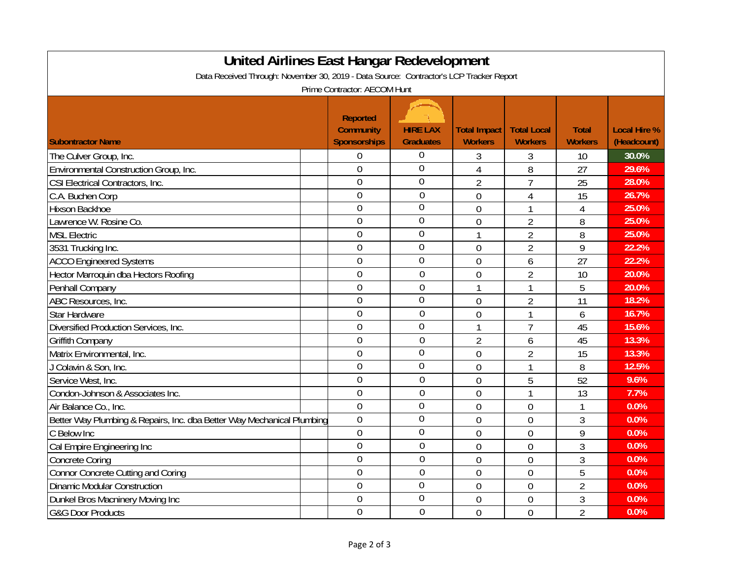| <b>United Airlines East Hangar Redevelopment</b>                                        |                     |                  |                |                    |                |                     |  |  |
|-----------------------------------------------------------------------------------------|---------------------|------------------|----------------|--------------------|----------------|---------------------|--|--|
| Data Received Through: November 30, 2019 - Data Source: Contractor's LCP Tracker Report |                     |                  |                |                    |                |                     |  |  |
| Prime Contractor: AECOM Hunt                                                            |                     |                  |                |                    |                |                     |  |  |
|                                                                                         |                     |                  |                |                    |                |                     |  |  |
|                                                                                         | <b>Reported</b>     |                  |                |                    |                |                     |  |  |
|                                                                                         | <b>Community</b>    | <b>HIRE LAX</b>  | Total Impact   | <b>Total Local</b> | <b>Total</b>   | <b>Local Hire %</b> |  |  |
| <b>Subontractor Name</b>                                                                | <b>Sponsorships</b> | <b>Graduates</b> | <b>Workers</b> | <b>Workers</b>     | <b>Workers</b> | (Headcount)         |  |  |
| The Culver Group, Inc.                                                                  | $\overline{0}$      | $\theta$         | 3              | 3                  | 10             | 30.0%               |  |  |
| Environmental Construction Group, Inc.                                                  | $\theta$            | $\overline{0}$   | 4              | 8                  | 27             | 29.6%               |  |  |
| CSI Electrical Contractors, Inc.                                                        | $\overline{0}$      | $\overline{0}$   | $\overline{2}$ | $\overline{1}$     | 25             | 28.0%               |  |  |
| C.A. Buchen Corp                                                                        | $\overline{0}$      | $\overline{0}$   | $\overline{0}$ | 4                  | 15             | 26.7%               |  |  |
| Hixson Backhoe                                                                          | $\overline{0}$      | $\overline{0}$   | $\overline{0}$ |                    | $\overline{4}$ | 25.0%               |  |  |
| Lawrence W. Rosine Co.                                                                  | $\overline{0}$      | $\mathbf 0$      | $\overline{0}$ | $\overline{2}$     | 8              | 25.0%               |  |  |
| <b>MSL Electric</b>                                                                     | $\mathbf 0$         | $\overline{0}$   | 1              | $\overline{2}$     | 8              | 25.0%               |  |  |
| 3531 Trucking Inc.                                                                      | $\overline{0}$      | $\overline{0}$   | $\overline{0}$ | $\overline{2}$     | 9              | 22.2%               |  |  |
| <b>ACCO Engineered Systems</b>                                                          | $\mathbf 0$         | $\overline{0}$   | $\overline{0}$ | 6                  | 27             | 22.2%               |  |  |
| Hector Marroquin dba Hectors Roofing                                                    | $\overline{0}$      | $\theta$         | $\overline{0}$ | $\overline{2}$     | 10             | 20.0%               |  |  |
| Penhall Company                                                                         | $\overline{0}$      | $\overline{0}$   | 1              | 1                  | 5              | 20.0%               |  |  |
| ABC Resources, Inc.                                                                     | $\overline{0}$      | $\overline{0}$   | $\overline{0}$ | $\overline{2}$     | 11             | 18.2%               |  |  |
| <b>Star Hardware</b>                                                                    | $\overline{0}$      | $\overline{0}$   | $\overline{0}$ | 1                  | 6              | 16.7%               |  |  |
| Diversified Production Services, Inc.                                                   | $\overline{0}$      | $\overline{0}$   |                | $\overline{7}$     | 45             | 15.6%               |  |  |
| <b>Griffith Company</b>                                                                 | $\overline{0}$      | $\overline{0}$   | $\overline{2}$ | 6                  | 45             | 13.3%               |  |  |
| Matrix Environmental, Inc.                                                              | $\mathbf 0$         | $\overline{0}$   | $\overline{0}$ | $\overline{2}$     | 15             | 13.3%               |  |  |
| J Colavin & Son, Inc.                                                                   | $\overline{0}$      | $\mathbf 0$      | $\overline{0}$ | 1                  | 8              | 12.5%               |  |  |
| Service West, Inc.                                                                      | $\mathbf 0$         | $\overline{0}$   | $\overline{0}$ | 5                  | 52             | 9.6%                |  |  |
| Condon-Johnson & Associates Inc.                                                        | $\overline{0}$      | $\overline{0}$   | $\overline{0}$ | 1                  | 13             | 7.7%                |  |  |
| Air Balance Co., Inc.                                                                   | $\overline{0}$      | $\overline{0}$   | $\overline{0}$ | $\overline{0}$     | $\mathbf{1}$   | 0.0%                |  |  |
| Better Way Plumbing & Repairs, Inc. dba Better Way Mechanical Plumbing                  | $\overline{0}$      | $\overline{0}$   | $\overline{0}$ | $\overline{0}$     | 3              | 0.0%                |  |  |
| C Below Inc                                                                             | $\overline{0}$      | $\overline{0}$   | $\overline{0}$ | $\mathbf 0$        | 9              | 0.0%                |  |  |
| Cal Empire Engineering Inc                                                              | $\overline{0}$      | $\overline{0}$   | $\overline{0}$ | $\mathbf 0$        | 3              | 0.0%                |  |  |
| <b>Concrete Coring</b>                                                                  | $\overline{0}$      | $\overline{0}$   | $\overline{0}$ | $\overline{0}$     | 3              | 0.0%                |  |  |
| Connor Concrete Cutting and Coring                                                      | $\overline{0}$      | $\overline{0}$   | $\overline{0}$ | $\overline{0}$     | 5              | 0.0%                |  |  |
| <b>Dinamic Modular Construction</b>                                                     | $\overline{0}$      | $\overline{0}$   | $\overline{0}$ | $\overline{0}$     | $\overline{2}$ | 0.0%                |  |  |
| Dunkel Bros Macninery Moving Inc                                                        | $\overline{0}$      | $\theta$         | 0              | $\mathbf 0$        | 3              | 0.0%                |  |  |
| <b>G&amp;G Door Products</b>                                                            | $\overline{0}$      | $\overline{0}$   | $\overline{0}$ | $\overline{0}$     | $\overline{2}$ | 0.0%                |  |  |